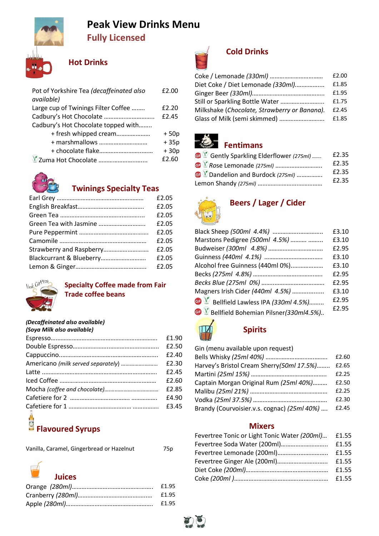

# Peak View Drinks Menu Fully Licensed

## Hot Drinks

| Pot of Yorkshire Tea (decaffeinated also | £2.00  |
|------------------------------------------|--------|
| available)                               |        |
| Large cup of Twinings Filter Coffee      | £2.20  |
| Cadbury's Hot Chocolate                  | £2.45  |
| Cadbury's Hot Chocolate topped with      |        |
| + fresh whipped cream                    | $+50p$ |
| + marshmallows                           | $+35p$ |
|                                          | $+30p$ |
| Zuma Hot Chocolate                       | £2.60  |



## Twinings Specialty Teas

|                          | £2.05 |
|--------------------------|-------|
|                          | £2.05 |
|                          | £2.05 |
|                          | £2.05 |
|                          | £2.05 |
|                          | £2.05 |
| Strawberry and Raspberry | £2.05 |
|                          | £2.05 |
|                          | £2.05 |



### Specialty Coffee made from Fair Trade coffee beans

### (Decaffeinated also available)

| (Soya Milk also available) |       |
|----------------------------|-------|
|                            | £1.90 |
|                            | £2.50 |
|                            | £2.40 |
|                            | £2.30 |
|                            | £2.45 |
|                            | £2.60 |
|                            | £2.85 |
|                            | £4.90 |
| $\overline{a}$             | £3.45 |

## Flavoured Syrups

|  | Vanilla, Caramel, Gingerbread or Hazelnut | 75p |
|--|-------------------------------------------|-----|
|  |                                           |     |



| f1.95 |
|-------|
| £1.95 |
| £1.95 |



## Cold Drinks

| £2.00 |
|-------|
| £1.85 |
| £1.95 |
| £1.75 |
| £2.45 |
| £1.85 |
|       |



# Fentimans

| Gently Sparkling Elderflower (275ml)               | £2.35 |
|----------------------------------------------------|-------|
|                                                    | £2.35 |
| <b>B</b> <sup><i>V</i></sup> Rose Lemonade (275ml) | £2.35 |
| <b>C</b> Dandelion and Burdock (275ml)             | £2.35 |
|                                                    |       |



# Beers / Lager / Cider

|                                                             | £3.10 |
|-------------------------------------------------------------|-------|
| Marstons Pedigree (500ml 4.5%)                              | £3.10 |
|                                                             | £2.95 |
|                                                             | £3.10 |
| Alcohol free Guinness (440ml 0%)                            | £3.10 |
|                                                             | £2.95 |
|                                                             | £2.95 |
| Magners Irish Cider (440ml 4.5%)                            | £3.10 |
| $\mathbf{\mathbb{C}}$ Bellfield Lawless IPA (330ml 4.5%)    | £2.95 |
| $\bigcirc \mathbb{V}$ Bellfield Bohemian Pilsner(330ml4.5%) | £2.95 |
|                                                             |       |



## Spirits

| Gin (menu available upon request)           |       |
|---------------------------------------------|-------|
|                                             | £2.60 |
| Harvey's Bristol Cream Sherry(50ml 17.5%)   | £2.65 |
|                                             | £2.25 |
| Captain Morgan Original Rum (25ml 40%)      | £2.50 |
|                                             | £2.25 |
|                                             | £2.30 |
| Brandy (Courvoisier.v.s. cognac) (25ml 40%) | £2.45 |

### Mixers

| Fevertree Tonic or Light Tonic Water (200ml) | £1.55 |
|----------------------------------------------|-------|
| Fevertree Soda Water (200ml)                 | £1.55 |
| Fevertree Lemonade (200ml)                   | £1.55 |
| Fevertree Ginger Ale (200ml)                 | £1.55 |
|                                              | £1.55 |
|                                              | £1.55 |